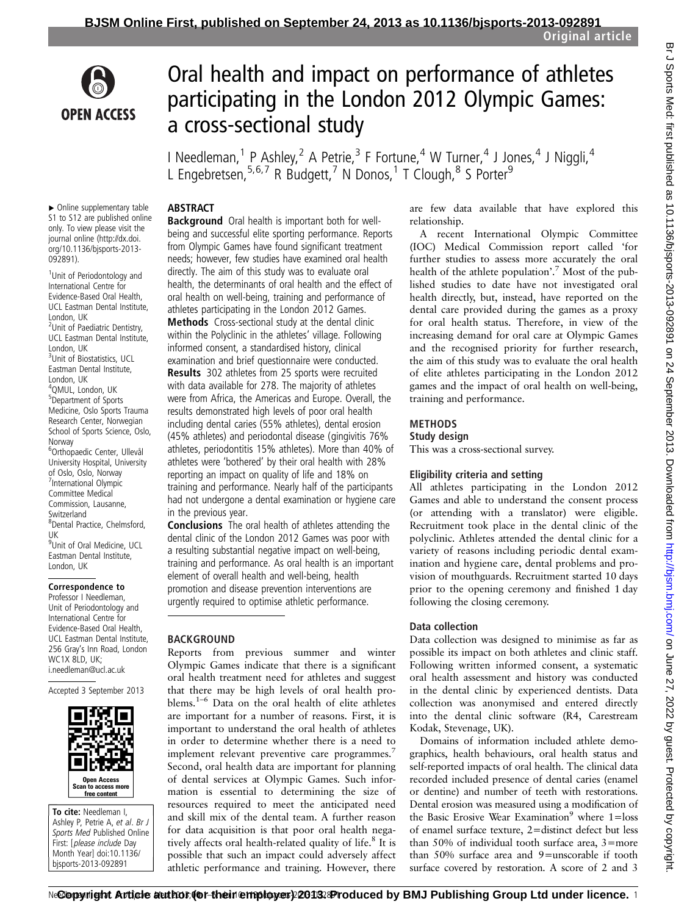

# Oral health and impact on performance of athletes participating in the London 2012 Olympic Games: a cross-sectional study

I Needleman,<sup>1</sup> P Ashley,<sup>2</sup> A Petrie,<sup>3</sup> F Fortune,<sup>4</sup> W Turner,<sup>4</sup> J Jones,<sup>4</sup> J Niggli,<sup>4</sup> L Engebretsen,  $5,6,7$  R Budgett,  $^7$  N Donos,  $^1$  T Clough,  $^8$  S Porter<sup>9</sup>

# **ABSTRACT**

▸ Online supplementary table S1 to S12 are published online only. To view please visit the journal online [\(http://dx.doi.](http://dx.doi.org/10.1136/bjsports-2013-092891) [org/10.1136/bjsports-2013-](http://dx.doi.org/10.1136/bjsports-2013-092891) [092891](http://dx.doi.org/10.1136/bjsports-2013-092891)).

<sup>1</sup>Unit of Periodontology and International Centre for Evidence-Based Oral Health, UCL Eastman Dental Institute, London, UK <sup>2</sup>Unit of Paediatric Dentistry, UCL Eastman Dental Institute, London, UK <sup>3</sup>Unit of Biostatistics, UCL Eastman Dental Institute, London, UK 4 QMUL, London, UK 5 Department of Sports Medicine, Oslo Sports Trauma Research Center, Norwegian School of Sports Science, Oslo, Norway 6 Orthopaedic Center, Ullevål University Hospital, University of Oslo, Oslo, Norway 7 International Olympic Committee Medical Commission, Lausanne, Switzerland 8 Dental Practice, Chelmsford, UK 9 Unit of Oral Medicine, UCL Eastman Dental Institute, London, UK

#### Correspondence to

Professor I Needleman, Unit of Periodontology and International Centre for Evidence-Based Oral Health, UCL Eastman Dental Institute, 256 Gray's Inn Road, London WC1X 8LD, UK; i.needleman@ucl.ac.uk

Accepted 3 September 2013



To cite: Needleman I, Ashley P, Petrie A, et al. Br J Sports Med Published Online First: [please include Day Month Year] doi:10.1136/ bjsports-2013-092891

Background Oral health is important both for wellbeing and successful elite sporting performance. Reports from Olympic Games have found significant treatment needs; however, few studies have examined oral health directly. The aim of this study was to evaluate oral health, the determinants of oral health and the effect of oral health on well-being, training and performance of athletes participating in the London 2012 Games.

Methods Cross-sectional study at the dental clinic within the Polyclinic in the athletes' village. Following informed consent, a standardised history, clinical examination and brief questionnaire were conducted. Results 302 athletes from 25 sports were recruited with data available for 278. The majority of athletes were from Africa, the Americas and Europe. Overall, the results demonstrated high levels of poor oral health including dental caries (55% athletes), dental erosion (45% athletes) and periodontal disease (gingivitis 76% athletes, periodontitis 15% athletes). More than 40% of athletes were 'bothered' by their oral health with 28% reporting an impact on quality of life and 18% on training and performance. Nearly half of the participants had not undergone a dental examination or hygiene care in the previous year.

Conclusions The oral health of athletes attending the dental clinic of the London 2012 Games was poor with a resulting substantial negative impact on well-being, training and performance. As oral health is an important element of overall health and well-being, health promotion and disease prevention interventions are urgently required to optimise athletic performance.

## **BACKGROUND**

Reports from previous summer and winter Olympic Games indicate that there is a significant oral health treatment need for athletes and suggest that there may be high levels of oral health problems.1–<sup>6</sup> Data on the oral health of elite athletes are important for a number of reasons. First, it is important to understand the oral health of athletes in order to determine whether there is a need to implement relevant preventive care programmes.<sup>7</sup> Second, oral health data are important for planning of dental services at Olympic Games. Such information is essential to determining the size of resources required to meet the anticipated need and skill mix of the dental team. A further reason for data acquisition is that poor oral health negatively affects oral health-related quality of life.<sup>8</sup> It is possible that such an impact could adversely affect athletic performance and training. However, there

are few data available that have explored this relationship.

A recent International Olympic Committee (IOC) Medical Commission report called 'for further studies to assess more accurately the oral health of the athlete population'. <sup>7</sup> Most of the published studies to date have not investigated oral health directly, but, instead, have reported on the dental care provided during the games as a proxy for oral health status. Therefore, in view of the increasing demand for oral care at Olympic Games and the recognised priority for further research, the aim of this study was to evaluate the oral health of elite athletes participating in the London 2012 games and the impact of oral health on well-being, training and performance.

## METHODS

#### Study design

This was a cross-sectional survey.

## Eligibility criteria and setting

All athletes participating in the London 2012 Games and able to understand the consent process (or attending with a translator) were eligible. Recruitment took place in the dental clinic of the polyclinic. Athletes attended the dental clinic for a variety of reasons including periodic dental examination and hygiene care, dental problems and provision of mouthguards. Recruitment started 10 days prior to the opening ceremony and finished 1 day following the closing ceremony.

## Data collection

Data collection was designed to minimise as far as possible its impact on both athletes and clinic staff. Following written informed consent, a systematic oral health assessment and history was conducted in the dental clinic by experienced dentists. Data collection was anonymised and entered directly into the dental clinic software (R4, Carestream Kodak, Stevenage, UK).

Domains of information included athlete demographics, health behaviours, oral health status and self-reported impacts of oral health. The clinical data recorded included presence of dental caries (enamel or dentine) and number of teeth with restorations. Dental erosion was measured using a modification of the Basic Erosive Wear Examination<sup>9</sup> where  $1 =$ loss of enamel surface texture, 2=distinct defect but less than 50% of individual tooth surface area, 3=more than 50% surface area and 9=unscorable if tooth surface covered by restoration. A score of 2 and 3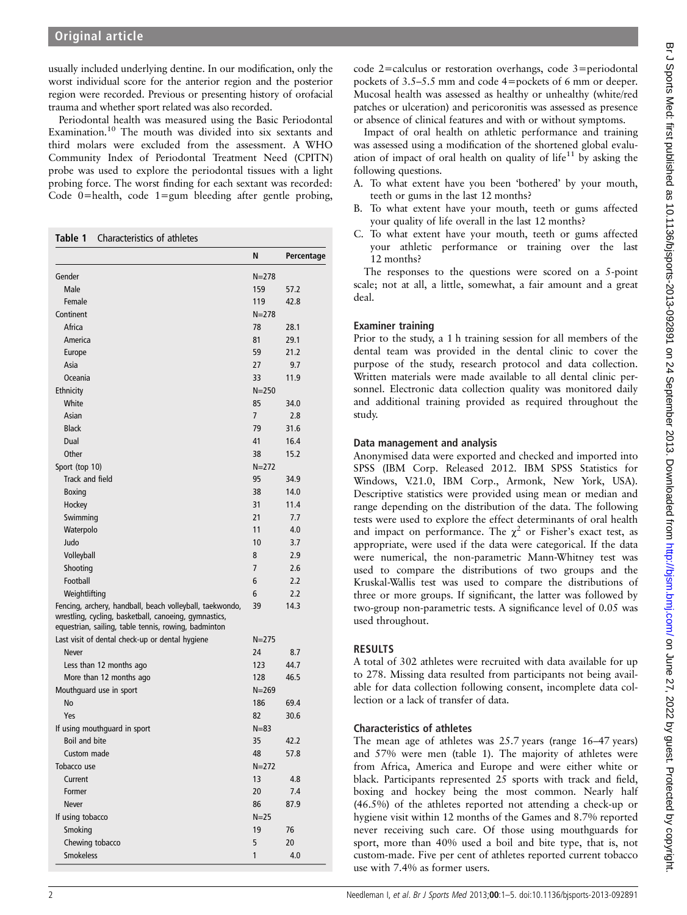usually included underlying dentine. In our modification, only the worst individual score for the anterior region and the posterior region were recorded. Previous or presenting history of orofacial trauma and whether sport related was also recorded.

Periodontal health was measured using the Basic Periodontal Examination.10 The mouth was divided into six sextants and third molars were excluded from the assessment. A WHO Community Index of Periodontal Treatment Need (CPITN) probe was used to explore the periodontal tissues with a light probing force. The worst finding for each sextant was recorded: Code 0=health, code 1=gum bleeding after gentle probing,

Table 1 Characteristics of athletes

|                                                                                                                                                                           | N              | Percentage |
|---------------------------------------------------------------------------------------------------------------------------------------------------------------------------|----------------|------------|
| Gender                                                                                                                                                                    | $N = 278$      |            |
| Male                                                                                                                                                                      | 159            | 57.2       |
| Female                                                                                                                                                                    | 119            | 42.8       |
| Continent                                                                                                                                                                 | $N = 278$      |            |
| Africa                                                                                                                                                                    | 78             | 28.1       |
| America                                                                                                                                                                   | 81             | 29.1       |
| Europe                                                                                                                                                                    | 59             | 21.2       |
| Asia                                                                                                                                                                      | 27             | 9.7        |
| Oceania                                                                                                                                                                   | 33             | 11.9       |
| Ethnicity                                                                                                                                                                 | $N = 250$      |            |
| White                                                                                                                                                                     | 85             | 34.0       |
| Asian                                                                                                                                                                     | $\overline{7}$ | 2.8        |
| <b>Black</b>                                                                                                                                                              | 79             | 31.6       |
| Dual                                                                                                                                                                      | 41             | 16.4       |
| Other                                                                                                                                                                     | 38             | 15.2       |
| Sport (top 10)                                                                                                                                                            | $N = 272$      |            |
| Track and field                                                                                                                                                           | 95             | 34.9       |
| Boxing                                                                                                                                                                    | 38             | 14.0       |
| Hockey                                                                                                                                                                    | 31             | 11.4       |
| Swimming                                                                                                                                                                  | 21             | 7.7        |
| Waterpolo                                                                                                                                                                 | 11             | 4.0        |
| Judo                                                                                                                                                                      | 10             | 3.7        |
| Volleyball                                                                                                                                                                | 8              | 2.9        |
| Shooting                                                                                                                                                                  | 7              | 2.6        |
| Football                                                                                                                                                                  | 6              | 2.2        |
| Weightlifting                                                                                                                                                             | 6              | 2.2        |
| Fencing, archery, handball, beach volleyball, taekwondo,<br>wrestling, cycling, basketball, canoeing, gymnastics,<br>equestrian, sailing, table tennis, rowing, badminton | 39             | 14.3       |
| Last visit of dental check-up or dental hygiene                                                                                                                           | $N = 275$      |            |
| <b>Never</b>                                                                                                                                                              | 24             | 8.7        |
| Less than 12 months ago                                                                                                                                                   | 123            | 44.7       |
| More than 12 months ago                                                                                                                                                   | 128            | 46.5       |
| Mouthguard use in sport                                                                                                                                                   | $N = 269$      |            |
| <b>No</b>                                                                                                                                                                 | 186            | 69.4       |
| Yes                                                                                                                                                                       | 82             | 30.6       |
| If using mouthguard in sport                                                                                                                                              | $N = 83$       |            |
| Boil and bite                                                                                                                                                             | 35             | 42.2       |
| Custom made                                                                                                                                                               | 48             | 57.8       |
| Tobacco use                                                                                                                                                               | $N = 272$      |            |
| Current                                                                                                                                                                   | 13             | 4.8        |
| Former                                                                                                                                                                    | 20             | 7.4        |
| Never                                                                                                                                                                     | 86             | 87.9       |
| If using tobacco                                                                                                                                                          | $N = 25$       |            |
| Smoking                                                                                                                                                                   | 19             | 76         |
| Chewing tobacco                                                                                                                                                           | 5              | 20         |
| <b>Smokeless</b>                                                                                                                                                          | 1              | 4.0        |

Impact of oral health on athletic performance and training was assessed using a modification of the shortened global evaluation of impact of oral health on quality of life<sup>11</sup> by asking the following questions.

- A. To what extent have you been 'bothered' by your mouth, teeth or gums in the last 12 months?
- B. To what extent have your mouth, teeth or gums affected your quality of life overall in the last 12 months?
- C. To what extent have your mouth, teeth or gums affected your athletic performance or training over the last 12 months?

The responses to the questions were scored on a 5-point scale; not at all, a little, somewhat, a fair amount and a great deal.

#### Examiner training

Prior to the study, a 1 h training session for all members of the dental team was provided in the dental clinic to cover the purpose of the study, research protocol and data collection. Written materials were made available to all dental clinic personnel. Electronic data collection quality was monitored daily and additional training provided as required throughout the study.

## Data management and analysis

Anonymised data were exported and checked and imported into SPSS (IBM Corp. Released 2012. IBM SPSS Statistics for Windows, V.21.0, IBM Corp., Armonk, New York, USA). Descriptive statistics were provided using mean or median and range depending on the distribution of the data. The following tests were used to explore the effect determinants of oral health and impact on performance. The  $\chi^2$  or Fisher's exact test, as appropriate, were used if the data were categorical. If the data were numerical, the non-parametric Mann-Whitney test was used to compare the distributions of two groups and the Kruskal-Wallis test was used to compare the distributions of three or more groups. If significant, the latter was followed by two-group non-parametric tests. A significance level of 0.05 was used throughout.

## RESULTS

A total of 302 athletes were recruited with data available for up to 278. Missing data resulted from participants not being available for data collection following consent, incomplete data collection or a lack of transfer of data.

## Characteristics of athletes

The mean age of athletes was 25.7 years (range 16–47 years) and 57% were men (table 1). The majority of athletes were from Africa, America and Europe and were either white or black. Participants represented 25 sports with track and field, boxing and hockey being the most common. Nearly half (46.5%) of the athletes reported not attending a check-up or hygiene visit within 12 months of the Games and 8.7% reported never receiving such care. Of those using mouthguards for sport, more than 40% used a boil and bite type, that is, not custom-made. Five per cent of athletes reported current tobacco use with 7.4% as former users.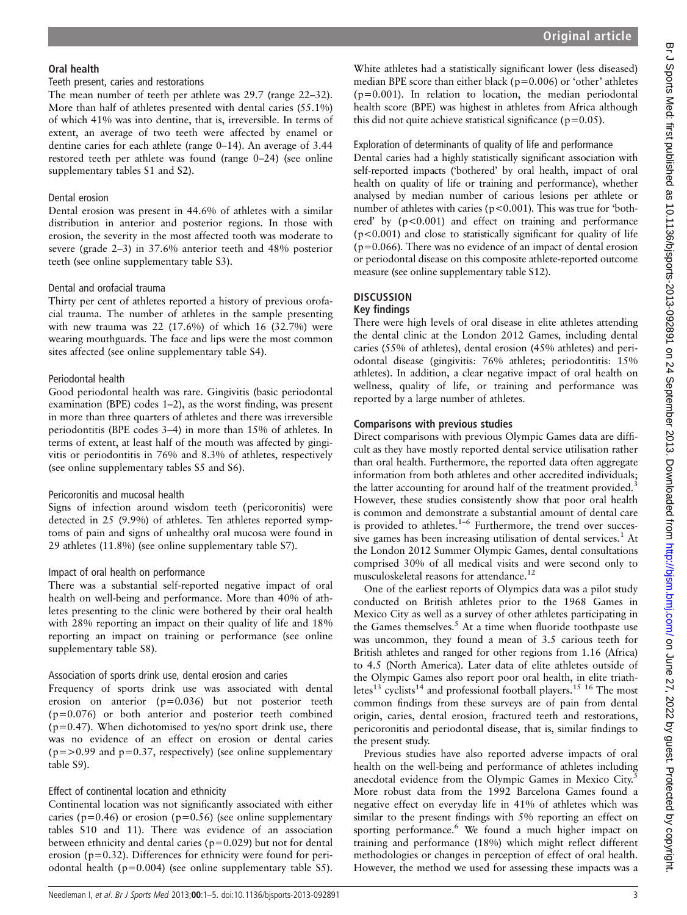#### Oral health

#### Teeth present, caries and restorations

The mean number of teeth per athlete was 29.7 (range 22–32). More than half of athletes presented with dental caries (55.1%) of which 41% was into dentine, that is, irreversible. In terms of extent, an average of two teeth were affected by enamel or dentine caries for each athlete (range 0–14). An average of 3.44 restored teeth per athlete was found (range 0–24) (see online [supplementary tables](http://bjsm.bmj.com/lookup/suppl/doi:10.1136/bjsports-2013-092891/-/DC1) S1 and S2).

#### Dental erosion

Dental erosion was present in 44.6% of athletes with a similar distribution in anterior and posterior regions. In those with erosion, the severity in the most affected tooth was moderate to severe (grade 2–3) in 37.6% anterior teeth and 48% posterior teeth (see online [supplementary table](http://bjsm.bmj.com/lookup/suppl/doi:10.1136/bjsports-2013-092891/-/DC1) S3).

## Dental and orofacial trauma

Thirty per cent of athletes reported a history of previous orofacial trauma. The number of athletes in the sample presenting with new trauma was 22 (17.6%) of which 16 (32.7%) were wearing mouthguards. The face and lips were the most common sites affected (see online supplementary table S4).

#### Periodontal health

Good periodontal health was rare. Gingivitis (basic periodontal examination (BPE) codes 1–2), as the worst finding, was present in more than three quarters of athletes and there was irreversible periodontitis (BPE codes 3–4) in more than 15% of athletes. In terms of extent, at least half of the mouth was affected by gingivitis or periodontitis in 76% and 8.3% of athletes, respectively (see online supplementary tables S5 and S6).

#### Pericoronitis and mucosal health

Signs of infection around wisdom teeth (pericoronitis) were detected in 25 (9.9%) of athletes. Ten athletes reported symptoms of pain and signs of unhealthy oral mucosa were found in 29 athletes (11.8%) (see online [supplementary table](http://bjsm.bmj.com/lookup/suppl/doi:10.1136/bjsports-2013-092891/-/DC1) S7).

## Impact of oral health on performance

There was a substantial self-reported negative impact of oral health on well-being and performance. More than 40% of athletes presenting to the clinic were bothered by their oral health with 28% reporting an impact on their quality of life and 18% reporting an impact on training or performance (see online [supplementary table](http://bjsm.bmj.com/lookup/suppl/doi:10.1136/bjsports-2013-092891/-/DC1) S8).

## Association of sports drink use, dental erosion and caries

Frequency of sports drink use was associated with dental erosion on anterior (p=0.036) but not posterior teeth (p=0.076) or both anterior and posterior teeth combined  $(p=0.47)$ . When dichotomised to yes/no sport drink use, there was no evidence of an effect on erosion or dental caries  $(p=>0.99$  and  $p=0.37$ , respectively) (see online [supplementary](http://bjsm.bmj.com/lookup/suppl/doi:10.1136/bjsports-2013-092891/-/DC1) [table](http://bjsm.bmj.com/lookup/suppl/doi:10.1136/bjsports-2013-092891/-/DC1) S9).

## Effect of continental location and ethnicity

Continental location was not significantly associated with either caries ( $p=0.46$ ) or erosion ( $p=0.56$ ) (see online supplementary tables S10 and 11). There was evidence of an association between ethnicity and dental caries (p=0.029) but not for dental erosion (p=0.32). Differences for ethnicity were found for periodontal health (p=0.004) (see online supplementary table S5).

White athletes had a statistically significant lower (less diseased) median BPE score than either black (p=0.006) or 'other' athletes  $(p=0.001)$ . In relation to location, the median periodontal health score (BPE) was highest in athletes from Africa although this did not quite achieve statistical significance ( $p=0.05$ ).

#### Exploration of determinants of quality of life and performance

Dental caries had a highly statistically significant association with self-reported impacts ('bothered' by oral health, impact of oral health on quality of life or training and performance), whether analysed by median number of carious lesions per athlete or number of athletes with caries (p<0.001). This was true for 'bothered' by  $(p<0.001)$  and effect on training and performance (p<0.001) and close to statistically significant for quality of life  $(p=0.066)$ . There was no evidence of an impact of dental erosion or periodontal disease on this composite athlete-reported outcome measure (see online [supplementary table](http://bjsm.bmj.com/lookup/suppl/doi:10.1136/bjsports-2013-092891/-/DC1) S12).

## **DISCUSSION**

## Key findings

There were high levels of oral disease in elite athletes attending the dental clinic at the London 2012 Games, including dental caries (55% of athletes), dental erosion (45% athletes) and periodontal disease (gingivitis: 76% athletes; periodontitis: 15% athletes). In addition, a clear negative impact of oral health on wellness, quality of life, or training and performance was reported by a large number of athletes.

#### Comparisons with previous studies

Direct comparisons with previous Olympic Games data are difficult as they have mostly reported dental service utilisation rather than oral health. Furthermore, the reported data often aggregate information from both athletes and other accredited individuals; the latter accounting for around half of the treatment provided.<sup>3</sup> However, these studies consistently show that poor oral health is common and demonstrate a substantial amount of dental care is provided to athletes. $1-6$  Furthermore, the trend over successive games has been increasing utilisation of dental services.<sup>1</sup> At the London 2012 Summer Olympic Games, dental consultations comprised 30% of all medical visits and were second only to musculoskeletal reasons for attendance.<sup>12</sup>

One of the earliest reports of Olympics data was a pilot study conducted on British athletes prior to the 1968 Games in Mexico City as well as a survey of other athletes participating in the Games themselves.<sup>5</sup> At a time when fluoride toothpaste use was uncommon, they found a mean of 3.5 carious teeth for British athletes and ranged for other regions from 1.16 (Africa) to 4.5 (North America). Later data of elite athletes outside of the Olympic Games also report poor oral health, in elite triathletes<sup>13</sup> cyclists<sup>14</sup> and professional football players.<sup>15 16</sup> The most common findings from these surveys are of pain from dental origin, caries, dental erosion, fractured teeth and restorations, pericoronitis and periodontal disease, that is, similar findings to the present study.

Previous studies have also reported adverse impacts of oral health on the well-being and performance of athletes including anecdotal evidence from the Olympic Games in Mexico City.<sup>5</sup> More robust data from the 1992 Barcelona Games found a negative effect on everyday life in 41% of athletes which was similar to the present findings with 5% reporting an effect on sporting performance.<sup>6</sup> We found a much higher impact on training and performance (18%) which might reflect different methodologies or changes in perception of effect of oral health. However, the method we used for assessing these impacts was a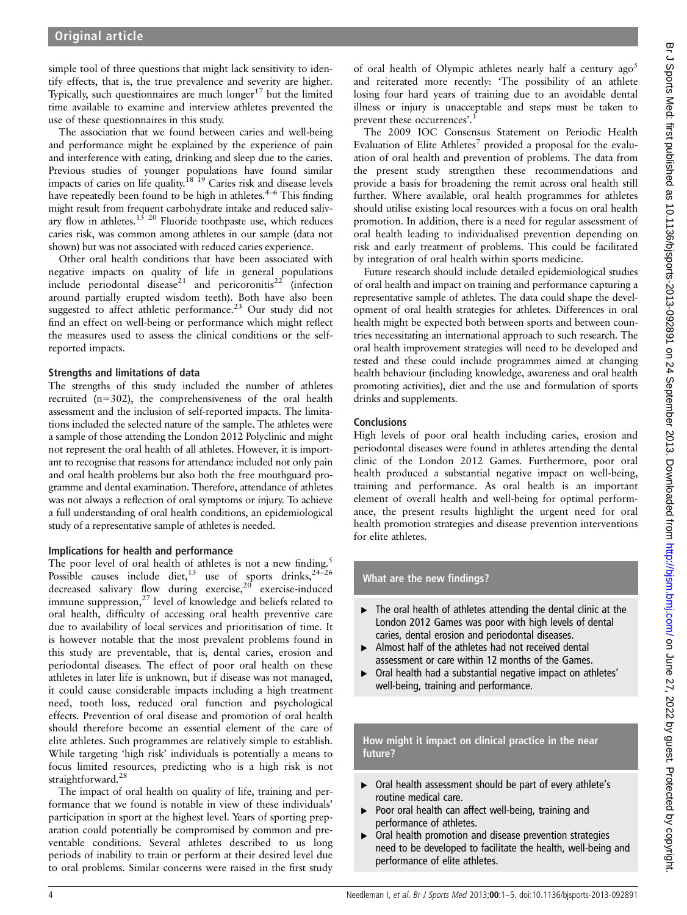simple tool of three questions that might lack sensitivity to identify effects, that is, the true prevalence and severity are higher. Typically, such questionnaires are much longer<sup>17</sup> but the limited time available to examine and interview athletes prevented the use of these questionnaires in this study.

The association that we found between caries and well-being and performance might be explained by the experience of pain and interference with eating, drinking and sleep due to the caries. Previous studies of younger populations have found similar impacts of caries on life quality.<sup>18</sup>  $\frac{1}{2}$  Caries risk and disease levels have repeatedly been found to be high in athletes.<sup>4–6</sup> This finding might result from frequent carbohydrate intake and reduced salivary flow in athletes.<sup>13 20</sup> Fluoride toothpaste use, which reduces caries risk, was common among athletes in our sample (data not shown) but was not associated with reduced caries experience.

Other oral health conditions that have been associated with negative impacts on quality of life in general populations include periodontal disease<sup>21</sup> and pericoronitis<sup>22</sup> (infection around partially erupted wisdom teeth). Both have also been suggested to affect athletic performance.<sup>23</sup> Our study did not find an effect on well-being or performance which might reflect the measures used to assess the clinical conditions or the selfreported impacts.

#### Strengths and limitations of data

The strengths of this study included the number of athletes recruited (n=302), the comprehensiveness of the oral health assessment and the inclusion of self-reported impacts. The limitations included the selected nature of the sample. The athletes were a sample of those attending the London 2012 Polyclinic and might not represent the oral health of all athletes. However, it is important to recognise that reasons for attendance included not only pain and oral health problems but also both the free mouthguard programme and dental examination. Therefore, attendance of athletes was not always a reflection of oral symptoms or injury. To achieve a full understanding of oral health conditions, an epidemiological study of a representative sample of athletes is needed.

#### Implications for health and performance

The poor level of oral health of athletes is not a new finding.<sup>5</sup> Possible causes include diet,<sup>13</sup> use of sports drinks,<sup>24–26</sup> decreased salivary flow during exercise,<sup>20</sup> exercise-induced immune suppression, $27$  level of knowledge and beliefs related to oral health, difficulty of accessing oral health preventive care due to availability of local services and prioritisation of time. It is however notable that the most prevalent problems found in this study are preventable, that is, dental caries, erosion and periodontal diseases. The effect of poor oral health on these athletes in later life is unknown, but if disease was not managed, it could cause considerable impacts including a high treatment need, tooth loss, reduced oral function and psychological effects. Prevention of oral disease and promotion of oral health should therefore become an essential element of the care of elite athletes. Such programmes are relatively simple to establish. While targeting 'high risk' individuals is potentially a means to focus limited resources, predicting who is a high risk is not straightforward.<sup>28</sup>

The impact of oral health on quality of life, training and performance that we found is notable in view of these individuals' participation in sport at the highest level. Years of sporting preparation could potentially be compromised by common and preventable conditions. Several athletes described to us long periods of inability to train or perform at their desired level due to oral problems. Similar concerns were raised in the first study of oral health of Olympic athletes nearly half a century  $ago<sup>5</sup>$ and reiterated more recently: 'The possibility of an athlete losing four hard years of training due to an avoidable dental illness or injury is unacceptable and steps must be taken to prevent these occurrences'.<sup>1</sup>

The 2009 IOC Consensus Statement on Periodic Health Evaluation of Elite Athletes<sup>7</sup> provided a proposal for the evaluation of oral health and prevention of problems. The data from the present study strengthen these recommendations and provide a basis for broadening the remit across oral health still further. Where available, oral health programmes for athletes should utilise existing local resources with a focus on oral health promotion. In addition, there is a need for regular assessment of oral health leading to individualised prevention depending on risk and early treatment of problems. This could be facilitated by integration of oral health within sports medicine.

Future research should include detailed epidemiological studies of oral health and impact on training and performance capturing a representative sample of athletes. The data could shape the development of oral health strategies for athletes. Differences in oral health might be expected both between sports and between countries necessitating an international approach to such research. The oral health improvement strategies will need to be developed and tested and these could include programmes aimed at changing health behaviour (including knowledge, awareness and oral health promoting activities), diet and the use and formulation of sports drinks and supplements.

#### **Conclusions**

High levels of poor oral health including caries, erosion and periodontal diseases were found in athletes attending the dental clinic of the London 2012 Games. Furthermore, poor oral health produced a substantial negative impact on well-being, training and performance. As oral health is an important element of overall health and well-being for optimal performance, the present results highlight the urgent need for oral health promotion strategies and disease prevention interventions for elite athletes.

#### What are the new findings?

- ▸ The oral health of athletes attending the dental clinic at the London 2012 Games was poor with high levels of dental caries, dental erosion and periodontal diseases.
- ▸ Almost half of the athletes had not received dental assessment or care within 12 months of the Games.
- ▸ Oral health had a substantial negative impact on athletes' well-being, training and performance.

How might it impact on clinical practice in the near future?

- ▸ Oral health assessment should be part of every athlete's routine medical care.
- ▸ Poor oral health can affect well-being, training and performance of athletes.
- ▶ Oral health promotion and disease prevention strategies need to be developed to facilitate the health, well-being and performance of elite athletes.